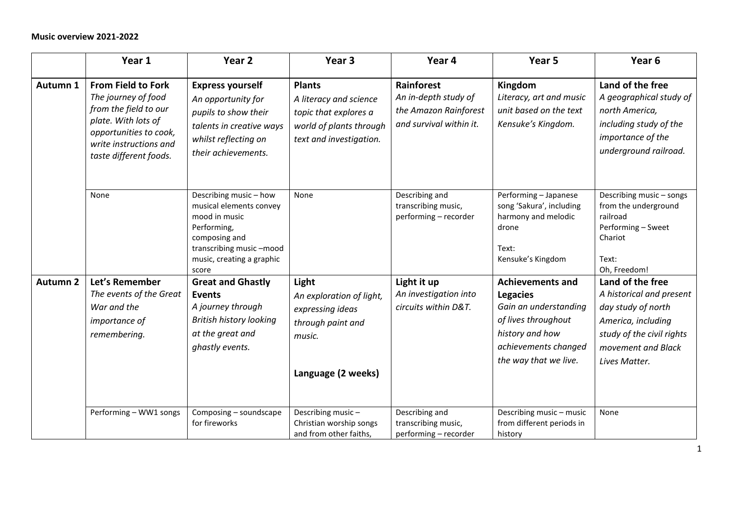|                     | Year 1                                                                                                                                                                         | Year <sub>2</sub>                                                                                                                                                   | Year <sub>3</sub>                                                                                                      | Year 4                                                                                 | Year <sub>5</sub>                                                                                                                                              | Year <sub>6</sub>                                                                                                                                            |
|---------------------|--------------------------------------------------------------------------------------------------------------------------------------------------------------------------------|---------------------------------------------------------------------------------------------------------------------------------------------------------------------|------------------------------------------------------------------------------------------------------------------------|----------------------------------------------------------------------------------------|----------------------------------------------------------------------------------------------------------------------------------------------------------------|--------------------------------------------------------------------------------------------------------------------------------------------------------------|
| Autumn 1            | <b>From Field to Fork</b><br>The journey of food<br>from the field to our<br>plate. With lots of<br>opportunities to cook,<br>write instructions and<br>taste different foods. | <b>Express yourself</b><br>An opportunity for<br>pupils to show their<br>talents in creative ways<br>whilst reflecting on<br>their achievements.                    | <b>Plants</b><br>A literacy and science<br>topic that explores a<br>world of plants through<br>text and investigation. | Rainforest<br>An in-depth study of<br>the Amazon Rainforest<br>and survival within it. | Kingdom<br>Literacy, art and music<br>unit based on the text<br>Kensuke's Kingdom.                                                                             | Land of the free<br>A geographical study of<br>north America,<br>including study of the<br>importance of the<br>underground railroad.                        |
|                     | None                                                                                                                                                                           | Describing music - how<br>musical elements convey<br>mood in music<br>Performing,<br>composing and<br>transcribing music-mood<br>music, creating a graphic<br>score | None                                                                                                                   | Describing and<br>transcribing music,<br>performing - recorder                         | Performing - Japanese<br>song 'Sakura', including<br>harmony and melodic<br>drone<br>Text:<br>Kensuke's Kingdom                                                | Describing music - songs<br>from the underground<br>railroad<br>Performing - Sweet<br>Chariot<br>Text:<br>Oh, Freedom!                                       |
| Autumn <sub>2</sub> | Let's Remember<br>The events of the Great<br>War and the<br>importance of<br>remembering.                                                                                      | <b>Great and Ghastly</b><br><b>Events</b><br>A journey through<br><b>British history looking</b><br>at the great and<br>ghastly events.                             | Light<br>An exploration of light,<br>expressing ideas<br>through paint and<br>music.<br>Language (2 weeks)             | Light it up<br>An investigation into<br>circuits within D&T.                           | <b>Achievements and</b><br><b>Legacies</b><br>Gain an understanding<br>of lives throughout<br>history and how<br>achievements changed<br>the way that we live. | Land of the free<br>A historical and present<br>day study of north<br>America, including<br>study of the civil rights<br>movement and Black<br>Lives Matter. |
|                     | Performing - WW1 songs                                                                                                                                                         | Composing - soundscape<br>for fireworks                                                                                                                             | Describing music-<br>Christian worship songs<br>and from other faiths,                                                 | Describing and<br>transcribing music,<br>performing - recorder                         | Describing music - music<br>from different periods in<br>history                                                                                               | None                                                                                                                                                         |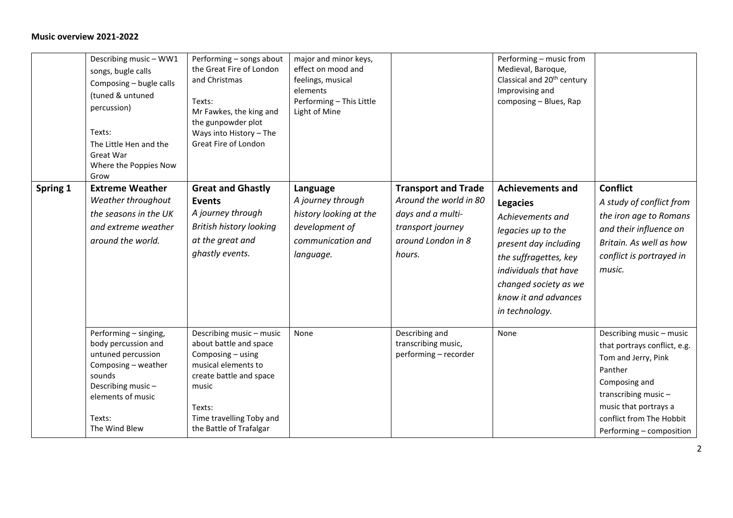|          | Describing music - WW1<br>songs, bugle calls<br>Composing - bugle calls<br>(tuned & untuned<br>percussion)<br>Texts:<br>The Little Hen and the<br>Great War<br>Where the Poppies Now<br>Grow | Performing - songs about<br>the Great Fire of London<br>and Christmas<br>Texts:<br>Mr Fawkes, the king and<br>the gunpowder plot<br>Ways into History - The<br>Great Fire of London                 | major and minor keys,<br>effect on mood and<br>feelings, musical<br>elements<br>Performing - This Little<br>Light of Mine |                                                                                                                                | Performing - music from<br>Medieval, Baroque,<br>Classical and 20 <sup>th</sup> century<br>Improvising and<br>composing - Blues, Rap                                                                                               |                                                                                                                                                                                                                     |
|----------|----------------------------------------------------------------------------------------------------------------------------------------------------------------------------------------------|-----------------------------------------------------------------------------------------------------------------------------------------------------------------------------------------------------|---------------------------------------------------------------------------------------------------------------------------|--------------------------------------------------------------------------------------------------------------------------------|------------------------------------------------------------------------------------------------------------------------------------------------------------------------------------------------------------------------------------|---------------------------------------------------------------------------------------------------------------------------------------------------------------------------------------------------------------------|
| Spring 1 | <b>Extreme Weather</b><br>Weather throughout<br>the seasons in the UK<br>and extreme weather<br>around the world.                                                                            | <b>Great and Ghastly</b><br><b>Events</b><br>A journey through<br><b>British history looking</b><br>at the great and<br>ghastly events.                                                             | Language<br>A journey through<br>history looking at the<br>development of<br>communication and<br>language.               | <b>Transport and Trade</b><br>Around the world in 80<br>days and a multi-<br>transport journey<br>around London in 8<br>hours. | <b>Achievements and</b><br><b>Legacies</b><br>Achievements and<br>legacies up to the<br>present day including<br>the suffragettes, key<br>individuals that have<br>changed society as we<br>know it and advances<br>in technology. | <b>Conflict</b><br>A study of conflict from<br>the iron age to Romans<br>and their influence on<br>Britain. As well as how<br>conflict is portrayed in<br>music.                                                    |
|          | Performing - singing,<br>body percussion and<br>untuned percussion<br>Composing - weather<br>sounds<br>Describing music-<br>elements of music<br>Texts:<br>The Wind Blew                     | Describing music - music<br>about battle and space<br>Composing - using<br>musical elements to<br>create battle and space<br>music<br>Texts:<br>Time travelling Toby and<br>the Battle of Trafalgar | None                                                                                                                      | Describing and<br>transcribing music,<br>performing - recorder                                                                 | None                                                                                                                                                                                                                               | Describing music - music<br>that portrays conflict, e.g.<br>Tom and Jerry, Pink<br>Panther<br>Composing and<br>transcribing music-<br>music that portrays a<br>conflict from The Hobbit<br>Performing - composition |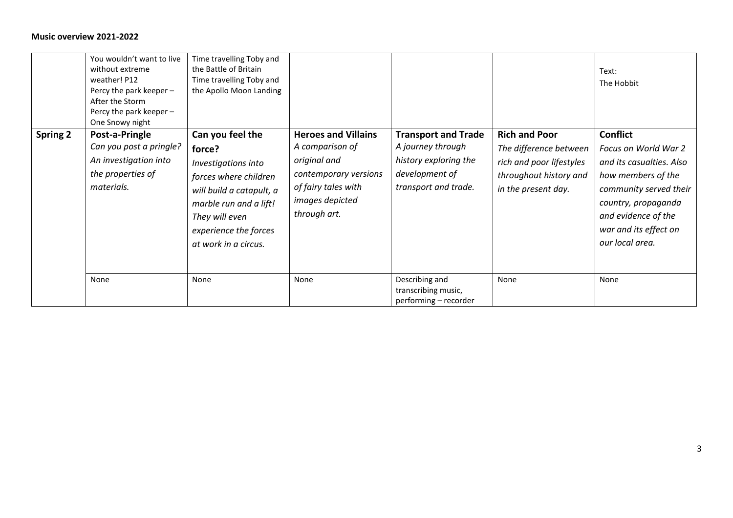|                 | You wouldn't want to live<br>without extreme<br>weather! P12<br>Percy the park keeper -<br>After the Storm<br>Percy the park keeper -<br>One Snowy night | Time travelling Toby and<br>the Battle of Britain<br>Time travelling Toby and<br>the Apollo Moon Landing                                                                                            |                                                                                                                                                  |                                                                                                                    |                                                                                                                             | Text:<br>The Hobbit                                                                                                                                                                                           |
|-----------------|----------------------------------------------------------------------------------------------------------------------------------------------------------|-----------------------------------------------------------------------------------------------------------------------------------------------------------------------------------------------------|--------------------------------------------------------------------------------------------------------------------------------------------------|--------------------------------------------------------------------------------------------------------------------|-----------------------------------------------------------------------------------------------------------------------------|---------------------------------------------------------------------------------------------------------------------------------------------------------------------------------------------------------------|
| <b>Spring 2</b> | Post-a-Pringle<br>Can you post a pringle?<br>An investigation into<br>the properties of<br>materials.                                                    | Can you feel the<br>force?<br>Investigations into<br>forces where children<br>will build a catapult, a<br>marble run and a lift!<br>They will even<br>experience the forces<br>at work in a circus. | <b>Heroes and Villains</b><br>A comparison of<br>original and<br>contemporary versions<br>of fairy tales with<br>images depicted<br>through art. | <b>Transport and Trade</b><br>A journey through<br>history exploring the<br>development of<br>transport and trade. | <b>Rich and Poor</b><br>The difference between<br>rich and poor lifestyles<br>throughout history and<br>in the present day. | <b>Conflict</b><br>Focus on World War 2<br>and its casualties. Also<br>how members of the<br>community served their<br>country, propaganda<br>and evidence of the<br>war and its effect on<br>our local area. |
|                 | None                                                                                                                                                     | None                                                                                                                                                                                                | None                                                                                                                                             | Describing and<br>transcribing music,<br>performing - recorder                                                     | None                                                                                                                        | None                                                                                                                                                                                                          |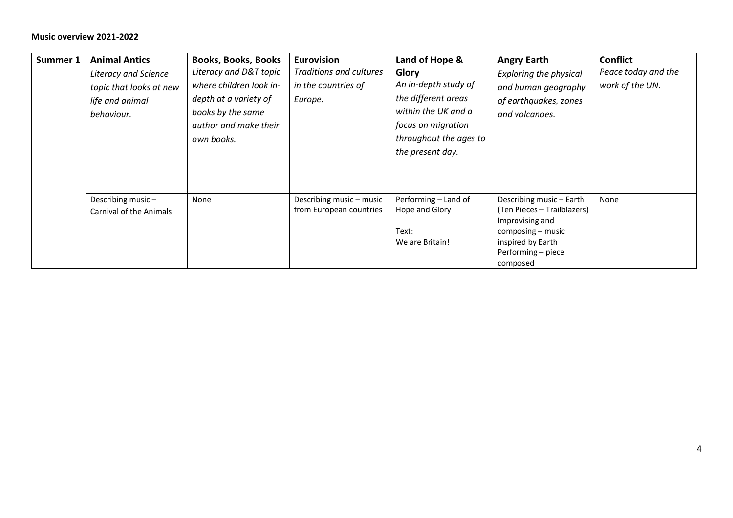| Summer 1 | <b>Animal Antics</b><br><b>Literacy and Science</b><br>topic that looks at new<br>life and animal<br>behaviour. | <b>Books, Books, Books</b><br>Literacy and D&T topic<br>where children look in-<br>depth at a variety of<br>books by the same<br>author and make their<br>own books. | <b>Eurovision</b><br>Traditions and cultures<br>in the countries of<br>Europe. | Land of Hope &<br>Glory<br>An in-depth study of<br>the different areas<br>within the UK and a<br>focus on migration<br>throughout the ages to<br>the present day. | <b>Angry Earth</b><br><b>Exploring the physical</b><br>and human geography<br>of earthquakes, zones<br>and volcanoes.                                  | <b>Conflict</b><br>Peace today and the<br>work of the UN. |
|----------|-----------------------------------------------------------------------------------------------------------------|----------------------------------------------------------------------------------------------------------------------------------------------------------------------|--------------------------------------------------------------------------------|-------------------------------------------------------------------------------------------------------------------------------------------------------------------|--------------------------------------------------------------------------------------------------------------------------------------------------------|-----------------------------------------------------------|
|          | Describing music-<br>Carnival of the Animals                                                                    | None                                                                                                                                                                 | Describing music - music<br>from European countries                            | Performing - Land of<br>Hope and Glory<br>Text:<br>We are Britain!                                                                                                | Describing music - Earth<br>(Ten Pieces - Trailblazers)<br>Improvising and<br>composing - music<br>inspired by Earth<br>Performing – piece<br>composed | None                                                      |